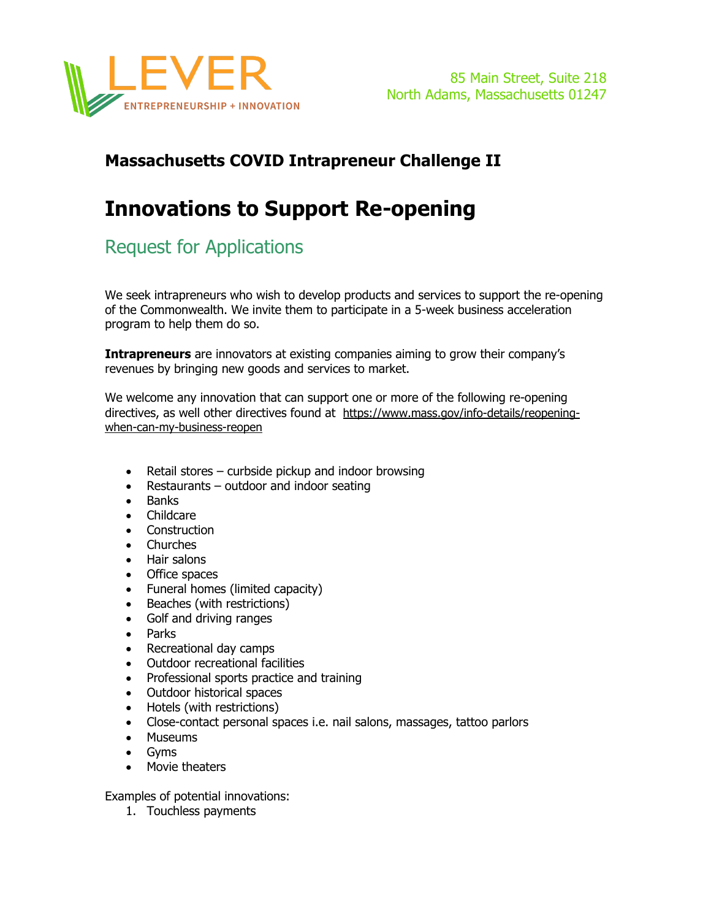

### **Massachusetts COVID Intrapreneur Challenge II**

# **Innovations to Support Re-opening**

## Request for Applications

We seek intrapreneurs who wish to develop products and services to support the re-opening of the Commonwealth. We invite them to participate in a 5-week business acceleration program to help them do so.

**Intrapreneurs** are innovators at existing companies aiming to grow their company's revenues by bringing new goods and services to market.

We welcome any innovation that can support one or more of the following re-opening directives, as well other directives found at https://www.mass.gov/info-details/reopeningwhen-can-my-business-reopen

- Retail stores curbside pickup and indoor browsing
- Restaurants outdoor and indoor seating
- Banks
- Childcare
- Construction
- Churches
- Hair salons
- Office spaces
- Funeral homes (limited capacity)
- Beaches (with restrictions)
- Golf and driving ranges
- Parks
- Recreational day camps
- Outdoor recreational facilities
- Professional sports practice and training
- Outdoor historical spaces
- Hotels (with restrictions)
- Close-contact personal spaces i.e. nail salons, massages, tattoo parlors
- Museums
- Gyms
- Movie theaters

Examples of potential innovations:

1. Touchless payments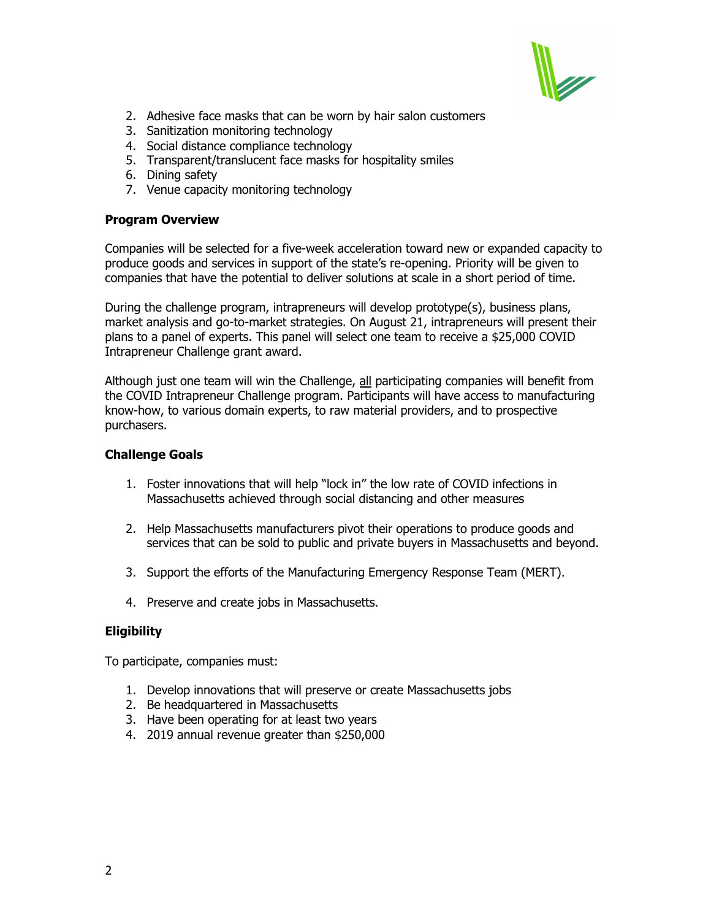

- 2. Adhesive face masks that can be worn by hair salon customers
- 3. Sanitization monitoring technology
- 4. Social distance compliance technology
- 5. Transparent/translucent face masks for hospitality smiles
- 6. Dining safety
- 7. Venue capacity monitoring technology

#### **Program Overview**

Companies will be selected for a five-week acceleration toward new or expanded capacity to produce goods and services in support of the state's re-opening. Priority will be given to companies that have the potential to deliver solutions at scale in a short period of time.

During the challenge program, intrapreneurs will develop prototype(s), business plans, market analysis and go-to-market strategies. On August 21, intrapreneurs will present their plans to a panel of experts. This panel will select one team to receive a \$25,000 COVID Intrapreneur Challenge grant award.

Although just one team will win the Challenge, all participating companies will benefit from the COVID Intrapreneur Challenge program. Participants will have access to manufacturing know-how, to various domain experts, to raw material providers, and to prospective purchasers.

#### **Challenge Goals**

- 1. Foster innovations that will help "lock in" the low rate of COVID infections in Massachusetts achieved through social distancing and other measures
- 2. Help Massachusetts manufacturers pivot their operations to produce goods and services that can be sold to public and private buyers in Massachusetts and beyond.
- 3. Support the efforts of the Manufacturing Emergency Response Team (MERT).
- 4. Preserve and create jobs in Massachusetts.

#### **Eligibility**

To participate, companies must:

- 1. Develop innovations that will preserve or create Massachusetts jobs
- 2. Be headquartered in Massachusetts
- 3. Have been operating for at least two years
- 4. 2019 annual revenue greater than \$250,000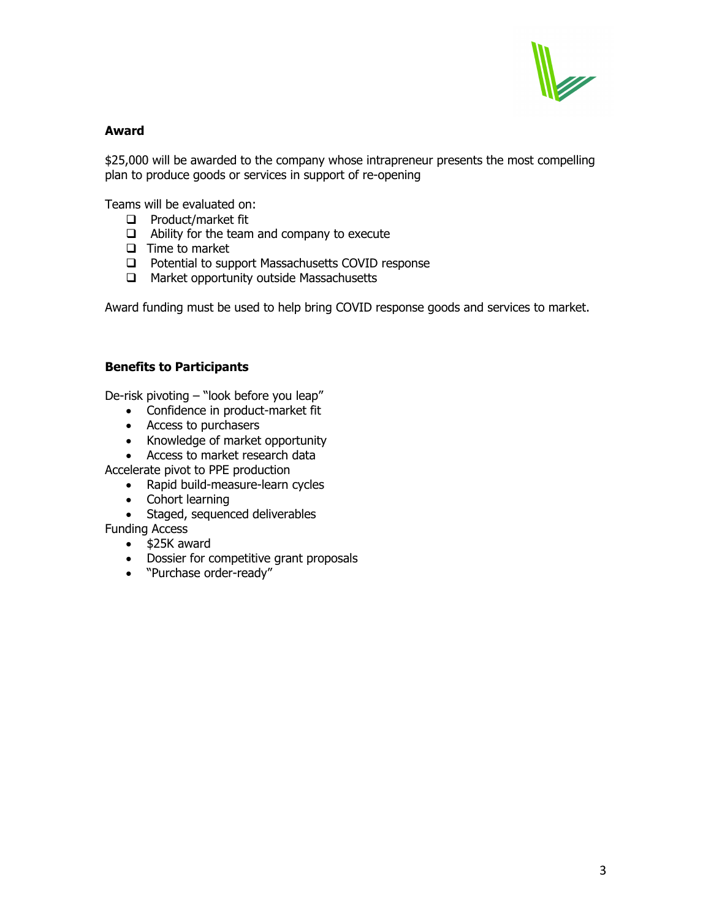

#### **Award**

\$25,000 will be awarded to the company whose intrapreneur presents the most compelling plan to produce goods or services in support of re-opening

Teams will be evaluated on:

- $\Box$  Product/market fit
- $\Box$  Ability for the team and company to execute
- $\Box$  Time to market
- $\Box$  Potential to support Massachusetts COVID response
- $\Box$  Market opportunity outside Massachusetts

Award funding must be used to help bring COVID response goods and services to market.

#### **Benefits to Participants**

De-risk pivoting – "look before you leap"

- Confidence in product-market fit
- Access to purchasers
- Knowledge of market opportunity
- Access to market research data

Accelerate pivot to PPE production

- Rapid build-measure-learn cycles
- Cohort learning
- Staged, sequenced deliverables
- Funding Access
	- \$25K award
	- Dossier for competitive grant proposals
	- "Purchase order-ready"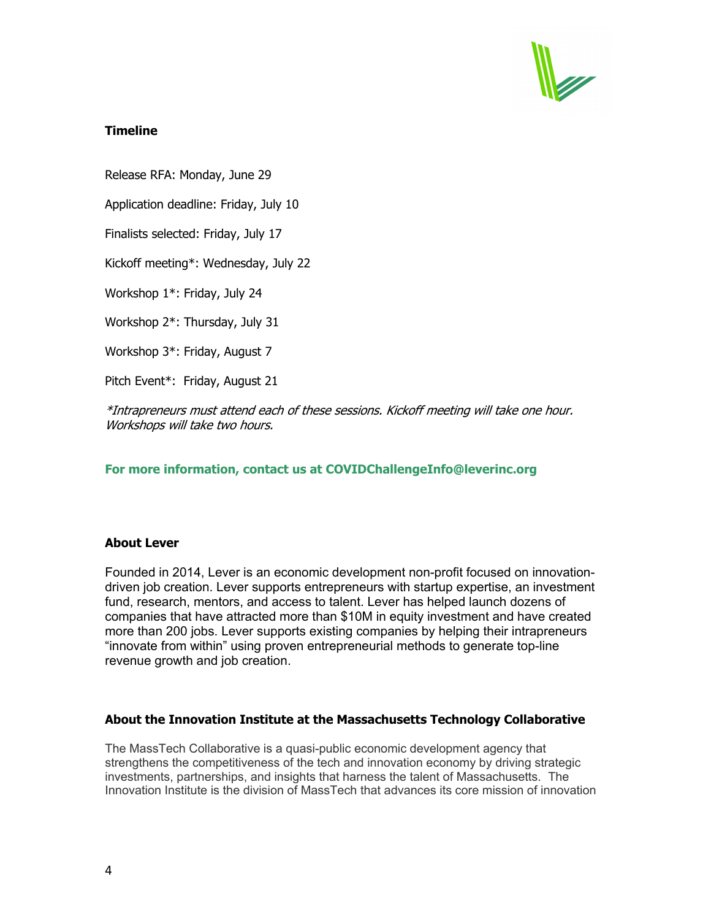

#### **Timeline**

Release RFA: Monday, June 29

Application deadline: Friday, July 10

Finalists selected: Friday, July 17

Kickoff meeting\*: Wednesday, July 22

Workshop 1\*: Friday, July 24

Workshop 2\*: Thursday, July 31

Workshop 3\*: Friday, August 7

Pitch Event\*: Friday, August 21

\*Intrapreneurs must attend each of these sessions. Kickoff meeting will take one hour. Workshops will take two hours.

#### **For more information, contact us at COVIDChallengeInfo@leverinc.org**

#### **About Lever**

Founded in 2014, Lever is an economic development non-profit focused on innovationdriven job creation. Lever supports entrepreneurs with startup expertise, an investment fund, research, mentors, and access to talent. Lever has helped launch dozens of companies that have attracted more than \$10M in equity investment and have created more than 200 jobs. Lever supports existing companies by helping their intrapreneurs "innovate from within" using proven entrepreneurial methods to generate top-line revenue growth and job creation.

#### **About the Innovation Institute at the Massachusetts Technology Collaborative**

The MassTech Collaborative is a quasi-public economic development agency that strengthens the competitiveness of the tech and innovation economy by driving strategic investments, partnerships, and insights that harness the talent of Massachusetts. The Innovation Institute is the division of MassTech that advances its core mission of innovation